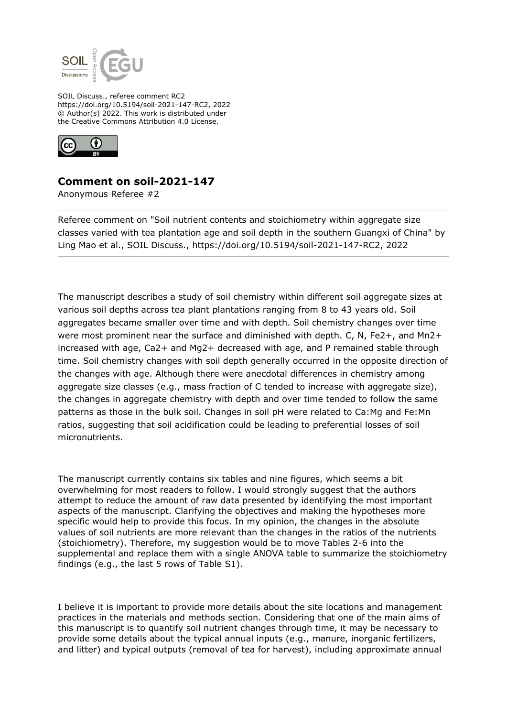

SOIL Discuss., referee comment RC2 https://doi.org/10.5194/soil-2021-147-RC2, 2022 © Author(s) 2022. This work is distributed under the Creative Commons Attribution 4.0 License.



## **Comment on soil-2021-147**

Anonymous Referee #2

Referee comment on "Soil nutrient contents and stoichiometry within aggregate size classes varied with tea plantation age and soil depth in the southern Guangxi of China" by Ling Mao et al., SOIL Discuss., https://doi.org/10.5194/soil-2021-147-RC2, 2022

The manuscript describes a study of soil chemistry within different soil aggregate sizes at various soil depths across tea plant plantations ranging from 8 to 43 years old. Soil aggregates became smaller over time and with depth. Soil chemistry changes over time were most prominent near the surface and diminished with depth. C, N, Fe2+, and Mn2+ increased with age, Ca2+ and Mg2+ decreased with age, and P remained stable through time. Soil chemistry changes with soil depth generally occurred in the opposite direction of the changes with age. Although there were anecdotal differences in chemistry among aggregate size classes (e.g., mass fraction of C tended to increase with aggregate size), the changes in aggregate chemistry with depth and over time tended to follow the same patterns as those in the bulk soil. Changes in soil pH were related to Ca:Mg and Fe:Mn ratios, suggesting that soil acidification could be leading to preferential losses of soil micronutrients.

The manuscript currently contains six tables and nine figures, which seems a bit overwhelming for most readers to follow. I would strongly suggest that the authors attempt to reduce the amount of raw data presented by identifying the most important aspects of the manuscript. Clarifying the objectives and making the hypotheses more specific would help to provide this focus. In my opinion, the changes in the absolute values of soil nutrients are more relevant than the changes in the ratios of the nutrients (stoichiometry). Therefore, my suggestion would be to move Tables 2-6 into the supplemental and replace them with a single ANOVA table to summarize the stoichiometry findings (e.g., the last 5 rows of Table S1).

I believe it is important to provide more details about the site locations and management practices in the materials and methods section. Considering that one of the main aims of this manuscript is to quantify soil nutrient changes through time, it may be necessary to provide some details about the typical annual inputs (e.g., manure, inorganic fertilizers, and litter) and typical outputs (removal of tea for harvest), including approximate annual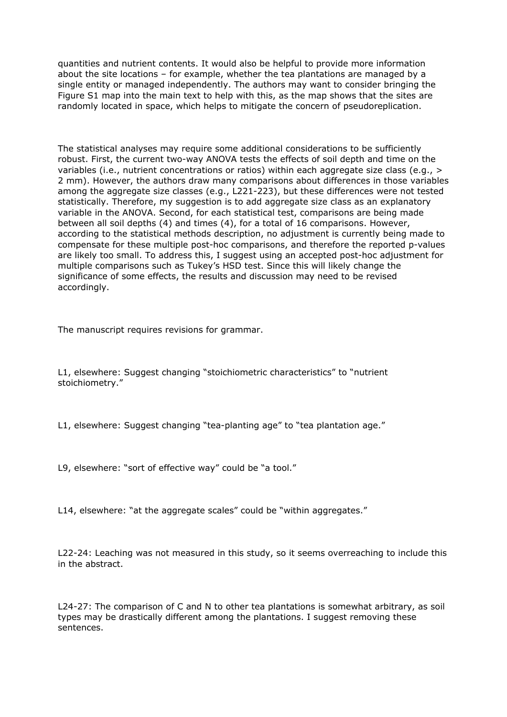quantities and nutrient contents. It would also be helpful to provide more information about the site locations – for example, whether the tea plantations are managed by a single entity or managed independently. The authors may want to consider bringing the Figure S1 map into the main text to help with this, as the map shows that the sites are randomly located in space, which helps to mitigate the concern of pseudoreplication.

The statistical analyses may require some additional considerations to be sufficiently robust. First, the current two-way ANOVA tests the effects of soil depth and time on the variables (i.e., nutrient concentrations or ratios) within each aggregate size class (e.g., > 2 mm). However, the authors draw many comparisons about differences in those variables among the aggregate size classes (e.g., L221-223), but these differences were not tested statistically. Therefore, my suggestion is to add aggregate size class as an explanatory variable in the ANOVA. Second, for each statistical test, comparisons are being made between all soil depths (4) and times (4), for a total of 16 comparisons. However, according to the statistical methods description, no adjustment is currently being made to compensate for these multiple post-hoc comparisons, and therefore the reported p-values are likely too small. To address this, I suggest using an accepted post-hoc adjustment for multiple comparisons such as Tukey's HSD test. Since this will likely change the significance of some effects, the results and discussion may need to be revised accordingly.

The manuscript requires revisions for grammar.

L1, elsewhere: Suggest changing "stoichiometric characteristics" to "nutrient stoichiometry."

L1, elsewhere: Suggest changing "tea-planting age" to "tea plantation age."

L9, elsewhere: "sort of effective way" could be "a tool."

L14, elsewhere: "at the aggregate scales" could be "within aggregates."

L22-24: Leaching was not measured in this study, so it seems overreaching to include this in the abstract.

L24-27: The comparison of C and N to other tea plantations is somewhat arbitrary, as soil types may be drastically different among the plantations. I suggest removing these sentences.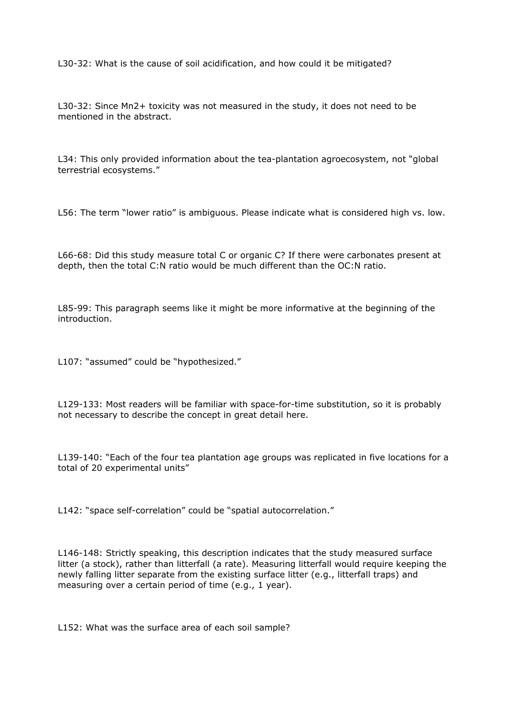L30-32: What is the cause of soil acidification, and how could it be mitigated?

L30-32: Since Mn2+ toxicity was not measured in the study, it does not need to be mentioned in the abstract.

L34: This only provided information about the tea-plantation agroecosystem, not "global terrestrial ecosystems."

L56: The term "lower ratio" is ambiguous. Please indicate what is considered high vs. low.

L66-68: Did this study measure total C or organic C? If there were carbonates present at depth, then the total C:N ratio would be much different than the OC:N ratio.

L85-99: This paragraph seems like it might be more informative at the beginning of the introduction.

L107: "assumed" could be "hypothesized."

L129-133: Most readers will be familiar with space-for-time substitution, so it is probably not necessary to describe the concept in great detail here.

L139-140: "Each of the four tea plantation age groups was replicated in five locations for a total of 20 experimental units"

L142: "space self-correlation" could be "spatial autocorrelation."

L146-148: Strictly speaking, this description indicates that the study measured surface litter (a stock), rather than litterfall (a rate). Measuring litterfall would require keeping the newly falling litter separate from the existing surface litter (e.g., litterfall traps) and measuring over a certain period of time (e.g., 1 year).

L152: What was the surface area of each soil sample?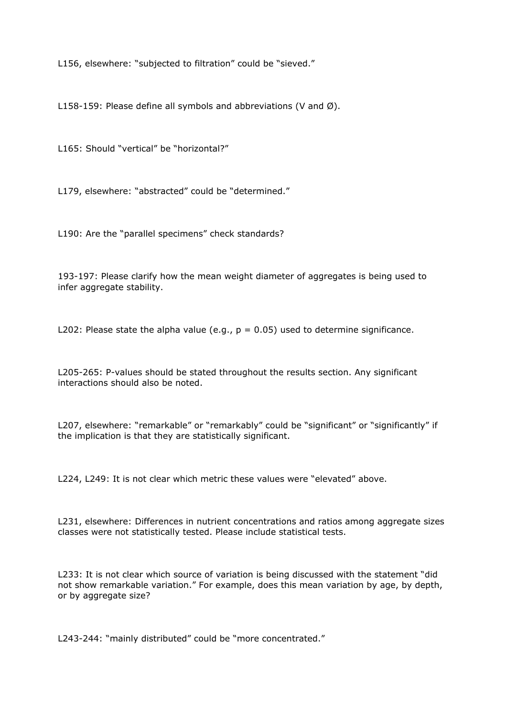L156, elsewhere: "subjected to filtration" could be "sieved."

L158-159: Please define all symbols and abbreviations (V and Ø).

L165: Should "vertical" be "horizontal?"

L179, elsewhere: "abstracted" could be "determined."

L190: Are the "parallel specimens" check standards?

193-197: Please clarify how the mean weight diameter of aggregates is being used to infer aggregate stability.

L202: Please state the alpha value (e.g.,  $p = 0.05$ ) used to determine significance.

L205-265: P-values should be stated throughout the results section. Any significant interactions should also be noted.

L207, elsewhere: "remarkable" or "remarkably" could be "significant" or "significantly" if the implication is that they are statistically significant.

L224, L249: It is not clear which metric these values were "elevated" above.

L231, elsewhere: Differences in nutrient concentrations and ratios among aggregate sizes classes were not statistically tested. Please include statistical tests.

L233: It is not clear which source of variation is being discussed with the statement "did not show remarkable variation." For example, does this mean variation by age, by depth, or by aggregate size?

L243-244: "mainly distributed" could be "more concentrated."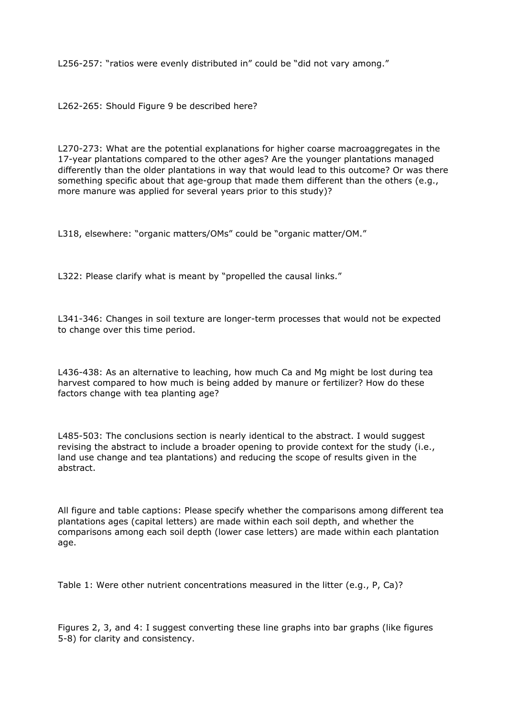L256-257: "ratios were evenly distributed in" could be "did not vary among."

L262-265: Should Figure 9 be described here?

L270-273: What are the potential explanations for higher coarse macroaggregates in the 17-year plantations compared to the other ages? Are the younger plantations managed differently than the older plantations in way that would lead to this outcome? Or was there something specific about that age-group that made them different than the others (e.g., more manure was applied for several years prior to this study)?

L318, elsewhere: "organic matters/OMs" could be "organic matter/OM."

L322: Please clarify what is meant by "propelled the causal links."

L341-346: Changes in soil texture are longer-term processes that would not be expected to change over this time period.

L436-438: As an alternative to leaching, how much Ca and Mg might be lost during tea harvest compared to how much is being added by manure or fertilizer? How do these factors change with tea planting age?

L485-503: The conclusions section is nearly identical to the abstract. I would suggest revising the abstract to include a broader opening to provide context for the study (i.e., land use change and tea plantations) and reducing the scope of results given in the abstract.

All figure and table captions: Please specify whether the comparisons among different tea plantations ages (capital letters) are made within each soil depth, and whether the comparisons among each soil depth (lower case letters) are made within each plantation age.

Table 1: Were other nutrient concentrations measured in the litter (e.g., P, Ca)?

Figures 2, 3, and 4: I suggest converting these line graphs into bar graphs (like figures 5-8) for clarity and consistency.